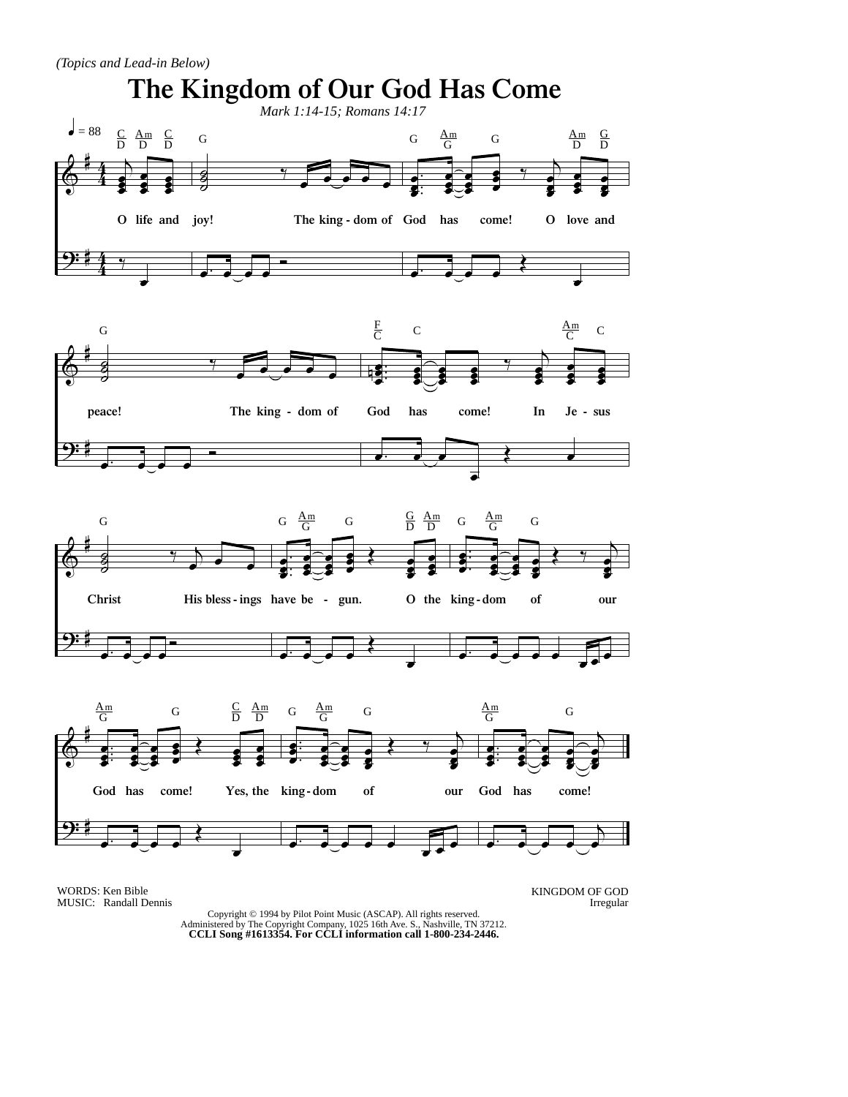*(Topics and Lead-in Below)*



WORDS: Ken Bible MUSIC: Randall Dennis KINGDOM OF GOD Irregular

Copyright © 1994 by Pilot Point Music (ASCAP). All rights reserved. Administered by The Copyright Company, 1025 16th Ave. S., Nashville, TN 37212. **CCLI Song #1613354. For CCLI information call 1-800-234-2446.**